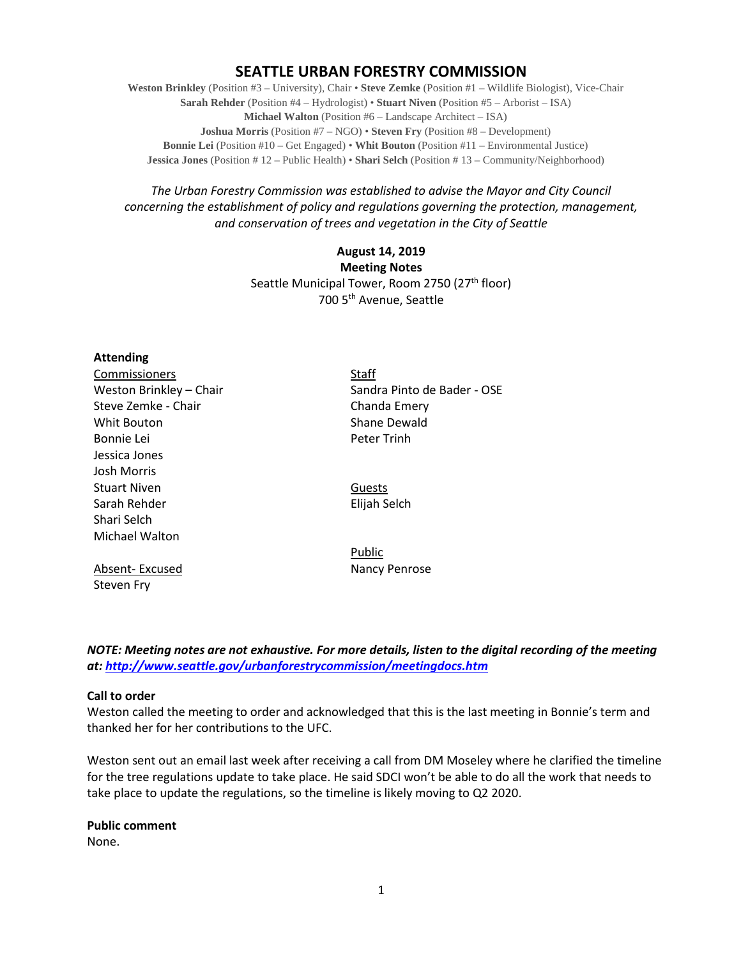# **SEATTLE URBAN FORESTRY COMMISSION**

**Weston Brinkley** (Position #3 – University), Chair • **Steve Zemke** (Position #1 – Wildlife Biologist), Vice-Chair **Sarah Rehder** (Position #4 – Hydrologist) • **Stuart Niven** (Position #5 – Arborist – ISA) **Michael Walton** (Position #6 – Landscape Architect – ISA) **Joshua Morris** (Position #7 – NGO) • **Steven Fry** (Position #8 – Development) **Bonnie Lei** (Position #10 – Get Engaged) • **Whit Bouton** (Position #11 – Environmental Justice) **Jessica Jones** (Position # 12 – Public Health) • **Shari Selch** (Position # 13 – Community/Neighborhood)

*The Urban Forestry Commission was established to advise the Mayor and City Council concerning the establishment of policy and regulations governing the protection, management, and conservation of trees and vegetation in the City of Seattle*

# **August 14, 2019 Meeting Notes** Seattle Municipal Tower, Room 2750 (27<sup>th</sup> floor) 700 5th Avenue, Seattle

# **Attending**

Commissioners Staff Steve Zemke - Chair Chanda Emery Whit Bouton **Shane Dewald** Bonnie Lei **Bonnie Lei** Jessica Jones Josh Morris Stuart Niven **Guests** Sarah Rehder **Elijah Selch** Shari Selch Michael Walton

Absent- Excused Nancy Penrose Steven Fry

Weston Brinkley – Chair Sandra Pinto de Bader - OSE

Public

*NOTE: Meeting notes are not exhaustive. For more details, listen to the digital recording of the meeting at:<http://www.seattle.gov/urbanforestrycommission/meetingdocs.htm>*

## **Call to order**

Weston called the meeting to order and acknowledged that this is the last meeting in Bonnie's term and thanked her for her contributions to the UFC.

Weston sent out an email last week after receiving a call from DM Moseley where he clarified the timeline for the tree regulations update to take place. He said SDCI won't be able to do all the work that needs to take place to update the regulations, so the timeline is likely moving to Q2 2020.

**Public comment**

None.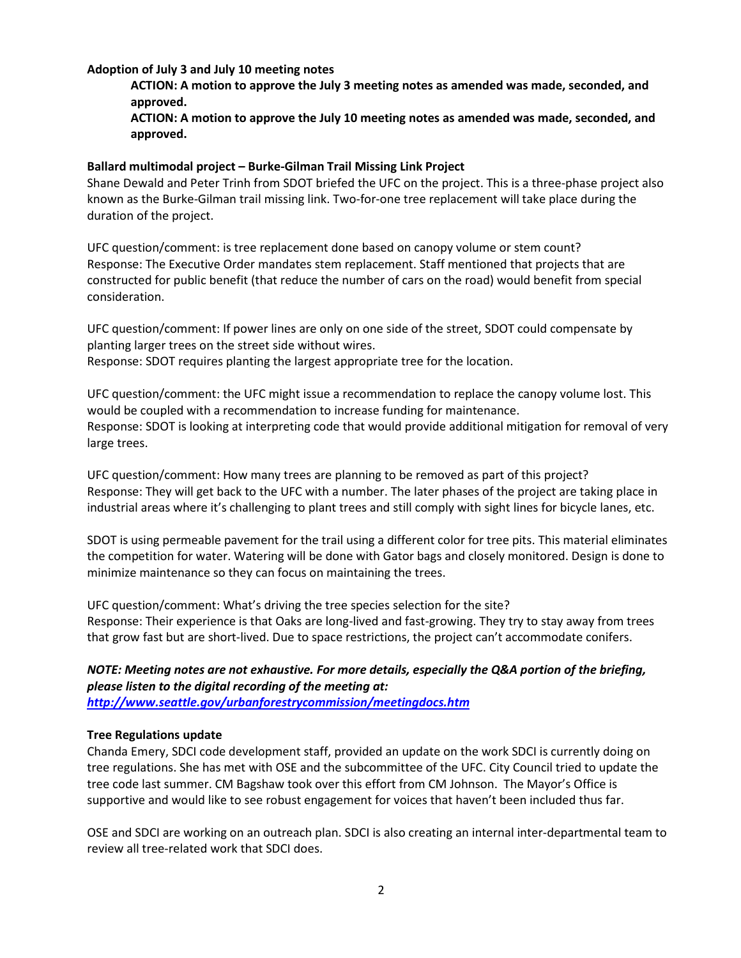# **Adoption of July 3 and July 10 meeting notes**

**ACTION: A motion to approve the July 3 meeting notes as amended was made, seconded, and approved.**

**ACTION: A motion to approve the July 10 meeting notes as amended was made, seconded, and approved.**

# **Ballard multimodal project – Burke-Gilman Trail Missing Link Project**

Shane Dewald and Peter Trinh from SDOT briefed the UFC on the project. This is a three-phase project also known as the Burke-Gilman trail missing link. Two-for-one tree replacement will take place during the duration of the project.

UFC question/comment: is tree replacement done based on canopy volume or stem count? Response: The Executive Order mandates stem replacement. Staff mentioned that projects that are constructed for public benefit (that reduce the number of cars on the road) would benefit from special consideration.

UFC question/comment: If power lines are only on one side of the street, SDOT could compensate by planting larger trees on the street side without wires.

Response: SDOT requires planting the largest appropriate tree for the location.

UFC question/comment: the UFC might issue a recommendation to replace the canopy volume lost. This would be coupled with a recommendation to increase funding for maintenance. Response: SDOT is looking at interpreting code that would provide additional mitigation for removal of very large trees.

UFC question/comment: How many trees are planning to be removed as part of this project? Response: They will get back to the UFC with a number. The later phases of the project are taking place in industrial areas where it's challenging to plant trees and still comply with sight lines for bicycle lanes, etc.

SDOT is using permeable pavement for the trail using a different color for tree pits. This material eliminates the competition for water. Watering will be done with Gator bags and closely monitored. Design is done to minimize maintenance so they can focus on maintaining the trees.

UFC question/comment: What's driving the tree species selection for the site? Response: Their experience is that Oaks are long-lived and fast-growing. They try to stay away from trees that grow fast but are short-lived. Due to space restrictions, the project can't accommodate conifers.

# *NOTE: Meeting notes are not exhaustive. For more details, especially the Q&A portion of the briefing, please listen to the digital recording of the meeting at:*

*<http://www.seattle.gov/urbanforestrycommission/meetingdocs.htm>*

## **Tree Regulations update**

Chanda Emery, SDCI code development staff, provided an update on the work SDCI is currently doing on tree regulations. She has met with OSE and the subcommittee of the UFC. City Council tried to update the tree code last summer. CM Bagshaw took over this effort from CM Johnson. The Mayor's Office is supportive and would like to see robust engagement for voices that haven't been included thus far.

OSE and SDCI are working on an outreach plan. SDCI is also creating an internal inter-departmental team to review all tree-related work that SDCI does.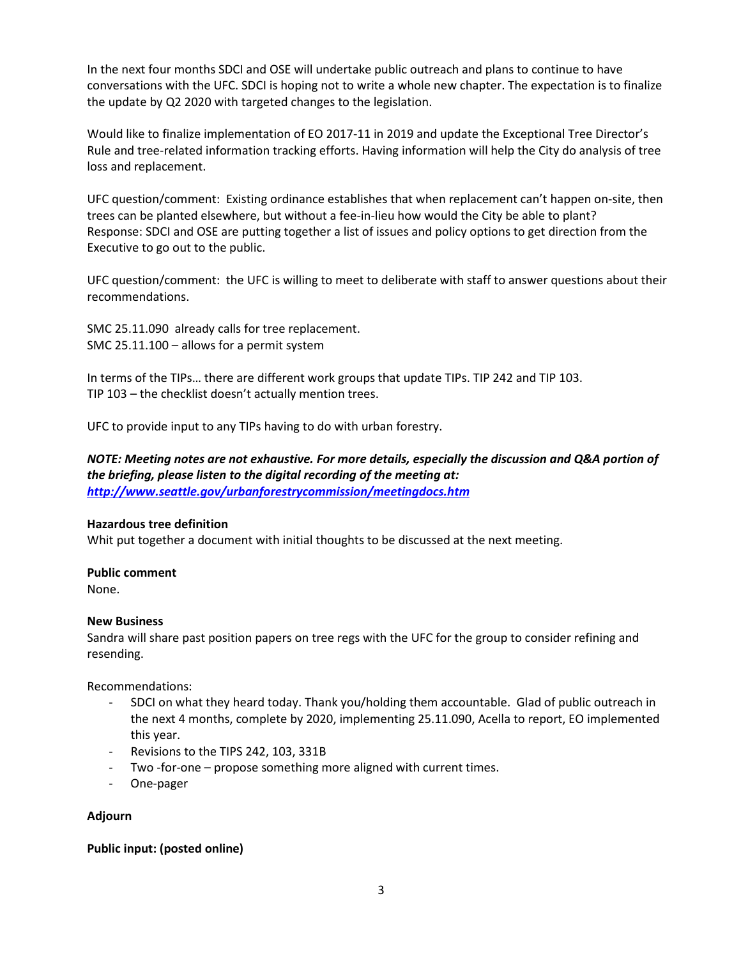In the next four months SDCI and OSE will undertake public outreach and plans to continue to have conversations with the UFC. SDCI is hoping not to write a whole new chapter. The expectation is to finalize the update by Q2 2020 with targeted changes to the legislation.

Would like to finalize implementation of EO 2017-11 in 2019 and update the Exceptional Tree Director's Rule and tree-related information tracking efforts. Having information will help the City do analysis of tree loss and replacement.

UFC question/comment: Existing ordinance establishes that when replacement can't happen on-site, then trees can be planted elsewhere, but without a fee-in-lieu how would the City be able to plant? Response: SDCI and OSE are putting together a list of issues and policy options to get direction from the Executive to go out to the public.

UFC question/comment: the UFC is willing to meet to deliberate with staff to answer questions about their recommendations.

SMC 25.11.090 already calls for tree replacement. SMC 25.11.100 – allows for a permit system

In terms of the TIPs… there are different work groups that update TIPs. TIP 242 and TIP 103. TIP 103 – the checklist doesn't actually mention trees.

UFC to provide input to any TIPs having to do with urban forestry.

*NOTE: Meeting notes are not exhaustive. For more details, especially the discussion and Q&A portion of the briefing, please listen to the digital recording of the meeting at: <http://www.seattle.gov/urbanforestrycommission/meetingdocs.htm>*

## **Hazardous tree definition**

Whit put together a document with initial thoughts to be discussed at the next meeting.

## **Public comment**

None.

## **New Business**

Sandra will share past position papers on tree regs with the UFC for the group to consider refining and resending.

Recommendations:

- SDCI on what they heard today. Thank you/holding them accountable. Glad of public outreach in the next 4 months, complete by 2020, implementing 25.11.090, Acella to report, EO implemented this year.
- Revisions to the TIPS 242, 103, 331B
- Two -for-one propose something more aligned with current times.
- One-pager

# **Adjourn**

## **Public input: (posted online)**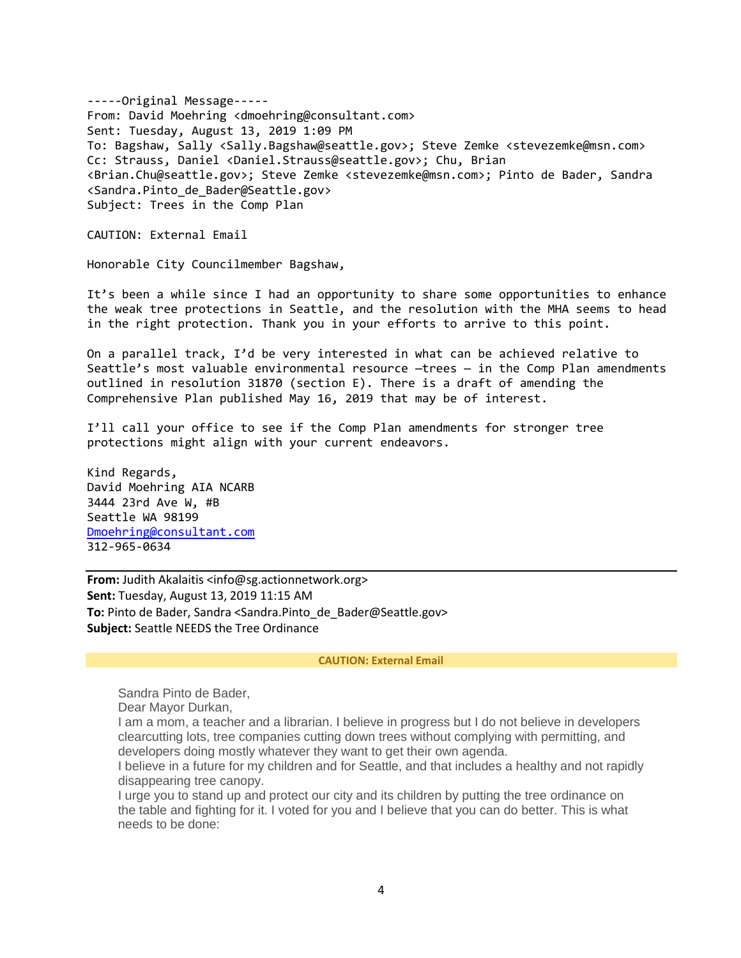-----Original Message----- From: David Moehring <dmoehring@consultant.com> Sent: Tuesday, August 13, 2019 1:09 PM To: Bagshaw, Sally <Sally.Bagshaw@seattle.gov>; Steve Zemke <stevezemke@msn.com> Cc: Strauss, Daniel <Daniel.Strauss@seattle.gov>; Chu, Brian <Brian.Chu@seattle.gov>; Steve Zemke <stevezemke@msn.com>; Pinto de Bader, Sandra <Sandra.Pinto\_de\_Bader@Seattle.gov> Subject: Trees in the Comp Plan

CAUTION: External Email

Honorable City Councilmember Bagshaw,

It's been a while since I had an opportunity to share some opportunities to enhance the weak tree protections in Seattle, and the resolution with the MHA seems to head in the right protection. Thank you in your efforts to arrive to this point.

On a parallel track, I'd be very interested in what can be achieved relative to Seattle's most valuable environmental resource —trees — in the Comp Plan amendments outlined in resolution 31870 (section E). There is a draft of amending the Comprehensive Plan published May 16, 2019 that may be of interest.

I'll call your office to see if the Comp Plan amendments for stronger tree protections might align with your current endeavors.

Kind Regards, David Moehring AIA NCARB 3444 23rd Ave W, #B Seattle WA 98199 [Dmoehring@consultant.com](mailto:Dmoehring@consultant.com) 312-965-0634

**From:** Judith Akalaitis <info@sg.actionnetwork.org> **Sent:** Tuesday, August 13, 2019 11:15 AM To: Pinto de Bader, Sandra <Sandra.Pinto de Bader@Seattle.gov> **Subject:** Seattle NEEDS the Tree Ordinance

#### **CAUTION: External Email**

Sandra Pinto de Bader,

Dear Mayor Durkan,

I am a mom, a teacher and a librarian. I believe in progress but I do not believe in developers clearcutting lots, tree companies cutting down trees without complying with permitting, and developers doing mostly whatever they want to get their own agenda.

I believe in a future for my children and for Seattle, and that includes a healthy and not rapidly disappearing tree canopy.

I urge you to stand up and protect our city and its children by putting the tree ordinance on the table and fighting for it. I voted for you and I believe that you can do better. This is what needs to be done: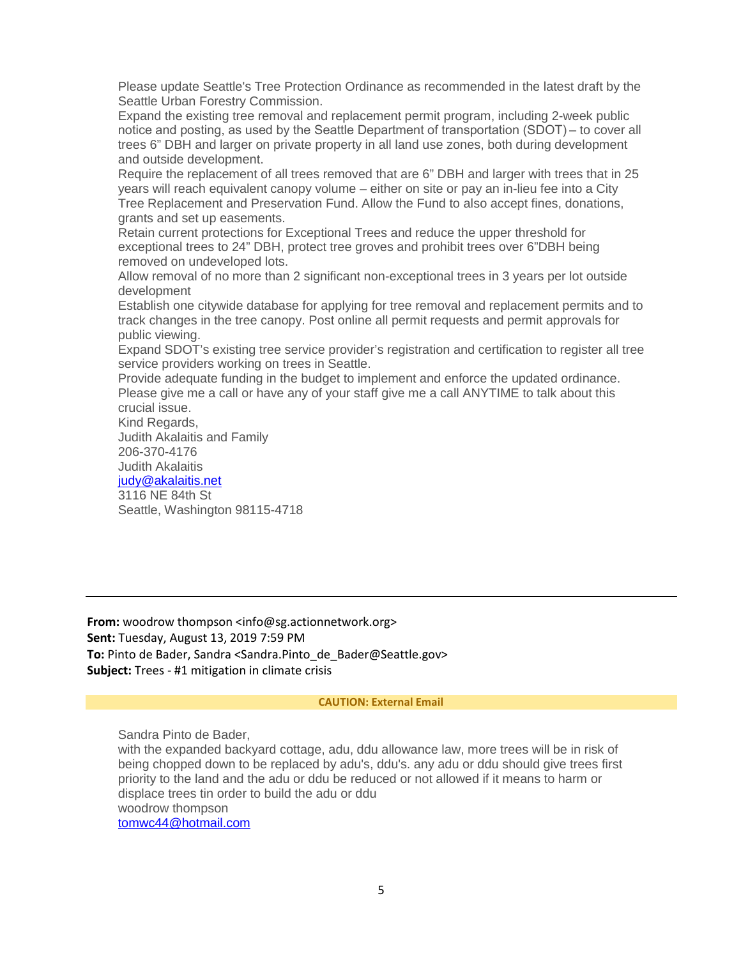Please update Seattle's Tree Protection Ordinance as recommended in the latest draft by the Seattle Urban Forestry Commission.

Expand the existing tree removal and replacement permit program, including 2-week public notice and posting, as used by the Seattle Department of transportation (SDOT) – to cover all trees 6" DBH and larger on private property in all land use zones, both during development and outside development.

Require the replacement of all trees removed that are 6" DBH and larger with trees that in 25 years will reach equivalent canopy volume – either on site or pay an in-lieu fee into a City Tree Replacement and Preservation Fund. Allow the Fund to also accept fines, donations, grants and set up easements.

Retain current protections for Exceptional Trees and reduce the upper threshold for exceptional trees to 24" DBH, protect tree groves and prohibit trees over 6"DBH being removed on undeveloped lots.

Allow removal of no more than 2 significant non-exceptional trees in 3 years per lot outside development

Establish one citywide database for applying for tree removal and replacement permits and to track changes in the tree canopy. Post online all permit requests and permit approvals for public viewing.

Expand SDOT's existing tree service provider's registration and certification to register all tree service providers working on trees in Seattle.

Provide adequate funding in the budget to implement and enforce the updated ordinance. Please give me a call or have any of your staff give me a call ANYTIME to talk about this crucial issue.

Kind Regards, Judith Akalaitis and Family 206-370-4176 Judith Akalaitis

[judy@akalaitis.net](mailto:judy@akalaitis.net)

3116 NE 84th St Seattle, Washington 98115-4718

**From:** woodrow thompson <info@sg.actionnetwork.org> **Sent:** Tuesday, August 13, 2019 7:59 PM To: Pinto de Bader, Sandra <Sandra.Pinto de Bader@Seattle.gov> **Subject:** Trees - #1 mitigation in climate crisis

## **CAUTION: External Email**

Sandra Pinto de Bader, with the expanded backyard cottage, adu, ddu allowance law, more trees will be in risk of being chopped down to be replaced by adu's, ddu's. any adu or ddu should give trees first priority to the land and the adu or ddu be reduced or not allowed if it means to harm or displace trees tin order to build the adu or ddu woodrow thompson [tomwc44@hotmail.com](mailto:tomwc44@hotmail.com)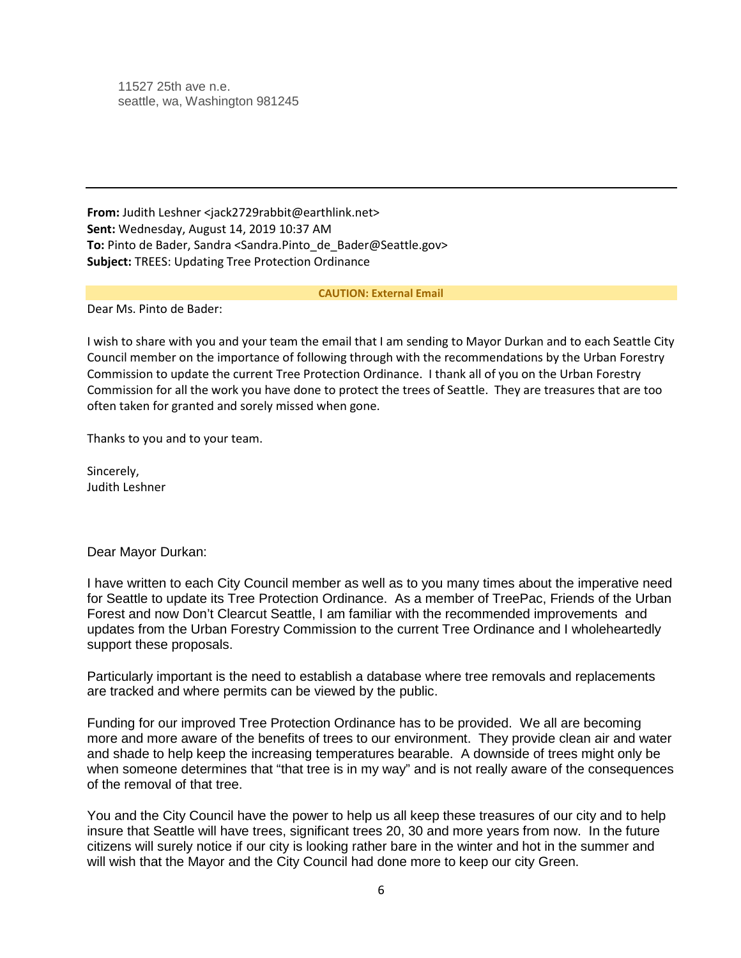11527 25th ave n.e. seattle, wa, Washington 981245

**From:** Judith Leshner <jack2729rabbit@earthlink.net> **Sent:** Wednesday, August 14, 2019 10:37 AM **To:** Pinto de Bader, Sandra <Sandra.Pinto\_de\_Bader@Seattle.gov> **Subject:** TREES: Updating Tree Protection Ordinance

#### **CAUTION: External Email**

Dear Ms. Pinto de Bader:

I wish to share with you and your team the email that I am sending to Mayor Durkan and to each Seattle City Council member on the importance of following through with the recommendations by the Urban Forestry Commission to update the current Tree Protection Ordinance. I thank all of you on the Urban Forestry Commission for all the work you have done to protect the trees of Seattle. They are treasures that are too often taken for granted and sorely missed when gone.

Thanks to you and to your team.

Sincerely, Judith Leshner

Dear Mayor Durkan:

I have written to each City Council member as well as to you many times about the imperative need for Seattle to update its Tree Protection Ordinance. As a member of TreePac, Friends of the Urban Forest and now Don't Clearcut Seattle, I am familiar with the recommended improvements and updates from the Urban Forestry Commission to the current Tree Ordinance and I wholeheartedly support these proposals.

Particularly important is the need to establish a database where tree removals and replacements are tracked and where permits can be viewed by the public.

Funding for our improved Tree Protection Ordinance has to be provided. We all are becoming more and more aware of the benefits of trees to our environment. They provide clean air and water and shade to help keep the increasing temperatures bearable. A downside of trees might only be when someone determines that "that tree is in my way" and is not really aware of the consequences of the removal of that tree.

You and the City Council have the power to help us all keep these treasures of our city and to help insure that Seattle will have trees, significant trees 20, 30 and more years from now. In the future citizens will surely notice if our city is looking rather bare in the winter and hot in the summer and will wish that the Mayor and the City Council had done more to keep our city Green.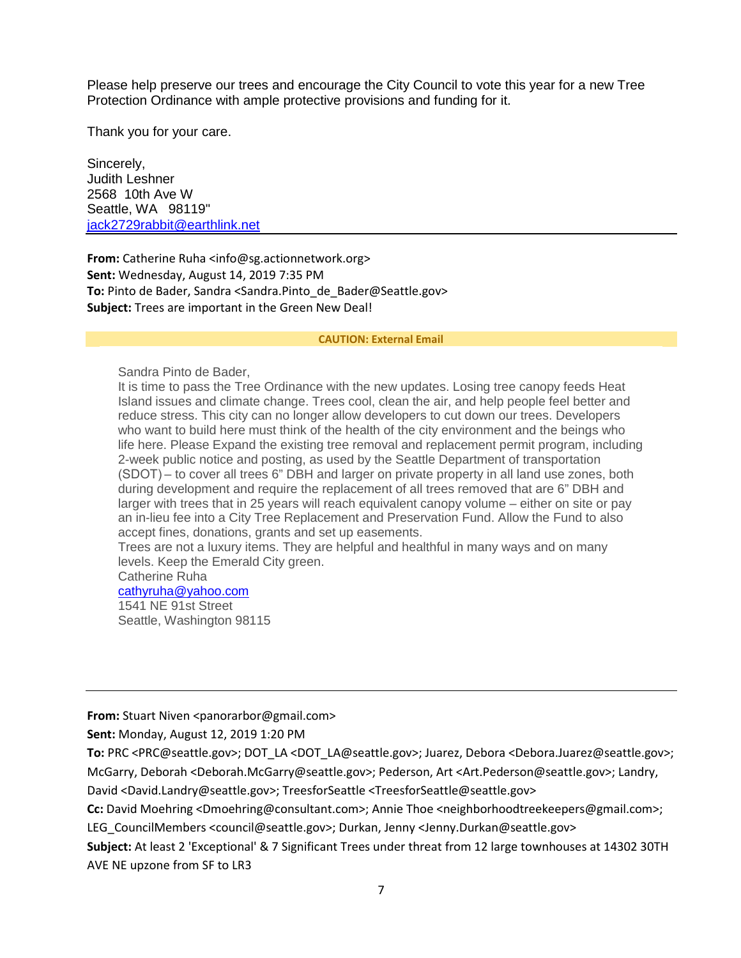Please help preserve our trees and encourage the City Council to vote this year for a new Tree Protection Ordinance with ample protective provisions and funding for it.

Thank you for your care.

Sincerely, Judith Leshner 2568 10th Ave W Seattle, WA 98119" [jack2729rabbit@earthlink.net](mailto:jack2729rabbit@earthlink.net)

**From:** Catherine Ruha <info@sg.actionnetwork.org> **Sent:** Wednesday, August 14, 2019 7:35 PM **To:** Pinto de Bader, Sandra <Sandra.Pinto\_de\_Bader@Seattle.gov> **Subject:** Trees are important in the Green New Deal!

#### **CAUTION: External Email**

Sandra Pinto de Bader,

It is time to pass the Tree Ordinance with the new updates. Losing tree canopy feeds Heat Island issues and climate change. Trees cool, clean the air, and help people feel better and reduce stress. This city can no longer allow developers to cut down our trees. Developers who want to build here must think of the health of the city environment and the beings who life here. Please Expand the existing tree removal and replacement permit program, including 2-week public notice and posting, as used by the Seattle Department of transportation (SDOT) – to cover all trees 6" DBH and larger on private property in all land use zones, both during development and require the replacement of all trees removed that are 6" DBH and larger with trees that in 25 years will reach equivalent canopy volume – either on site or pay an in-lieu fee into a City Tree Replacement and Preservation Fund. Allow the Fund to also accept fines, donations, grants and set up easements.

Trees are not a luxury items. They are helpful and healthful in many ways and on many levels. Keep the Emerald City green.

# Catherine Ruha

[cathyruha@yahoo.com](mailto:cathyruha@yahoo.com) 1541 NE 91st Street Seattle, Washington 98115

**From:** Stuart Niven <panorarbor@gmail.com>

**Sent:** Monday, August 12, 2019 1:20 PM

**To:** PRC <PRC@seattle.gov>; DOT\_LA <DOT\_LA@seattle.gov>; Juarez, Debora <Debora.Juarez@seattle.gov>; McGarry, Deborah <Deborah.McGarry@seattle.gov>; Pederson, Art <Art.Pederson@seattle.gov>; Landry, David <David.Landry@seattle.gov>; TreesforSeattle <TreesforSeattle@seattle.gov>

**Cc:** David Moehring <Dmoehring@consultant.com>; Annie Thoe <neighborhoodtreekeepers@gmail.com>;

LEG\_CouncilMembers <council@seattle.gov>; Durkan, Jenny <Jenny.Durkan@seattle.gov>

**Subject:** At least 2 'Exceptional' & 7 Significant Trees under threat from 12 large townhouses at 14302 30TH AVE NE upzone from SF to LR3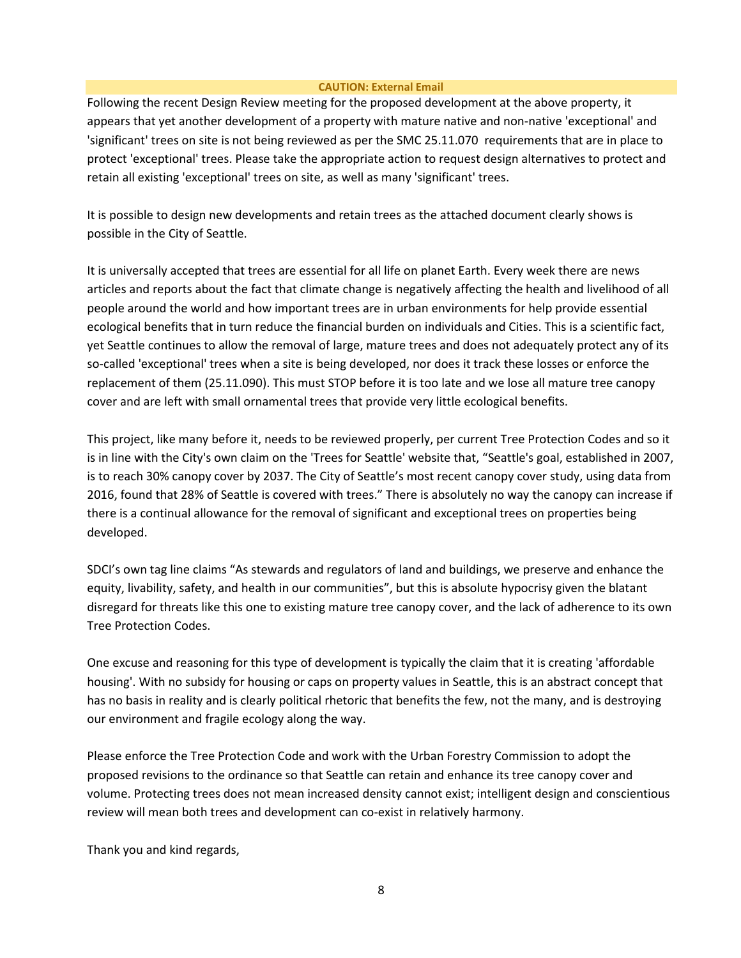### **CAUTION: External Email**

Following the recent Design Review meeting for the proposed development at the above property, it appears that yet another development of a property with mature native and non-native 'exceptional' and 'significant' trees on site is not being reviewed as per the SMC 25.11.070 requirements that are in place to protect 'exceptional' trees. Please take the appropriate action to request design alternatives to protect and retain all existing 'exceptional' trees on site, as well as many 'significant' trees.

It is possible to design new developments and retain trees as the attached document clearly shows is possible in the City of Seattle.

It is universally accepted that trees are essential for all life on planet Earth. Every week there are news articles and reports about the fact that climate change is negatively affecting the health and livelihood of all people around the world and how important trees are in urban environments for help provide essential ecological benefits that in turn reduce the financial burden on individuals and Cities. This is a scientific fact, yet Seattle continues to allow the removal of large, mature trees and does not adequately protect any of its so-called 'exceptional' trees when a site is being developed, nor does it track these losses or enforce the replacement of them (25.11.090). This must STOP before it is too late and we lose all mature tree canopy cover and are left with small ornamental trees that provide very little ecological benefits.

This project, like many before it, needs to be reviewed properly, per current Tree Protection Codes and so it is in line with the City's own claim on the 'Trees for Seattle' website that, "Seattle's goal, established in 2007, is to reach 30% canopy cover by 2037. The City of Seattle's most recent canopy cover study, using data from 2016, found that 28% of Seattle is covered with trees." There is absolutely no way the canopy can increase if there is a continual allowance for the removal of significant and exceptional trees on properties being developed.

SDCI's own tag line claims "As stewards and regulators of land and buildings, we preserve and enhance the equity, livability, safety, and health in our communities", but this is absolute hypocrisy given the blatant disregard for threats like this one to existing mature tree canopy cover, and the lack of adherence to its own Tree Protection Codes.

One excuse and reasoning for this type of development is typically the claim that it is creating 'affordable housing'. With no subsidy for housing or caps on property values in Seattle, this is an abstract concept that has no basis in reality and is clearly political rhetoric that benefits the few, not the many, and is destroying our environment and fragile ecology along the way.

Please enforce the Tree Protection Code and work with the Urban Forestry Commission to adopt the proposed revisions to the ordinance so that Seattle can retain and enhance its tree canopy cover and volume. Protecting trees does not mean increased density cannot exist; intelligent design and conscientious review will mean both trees and development can co-exist in relatively harmony.

Thank you and kind regards,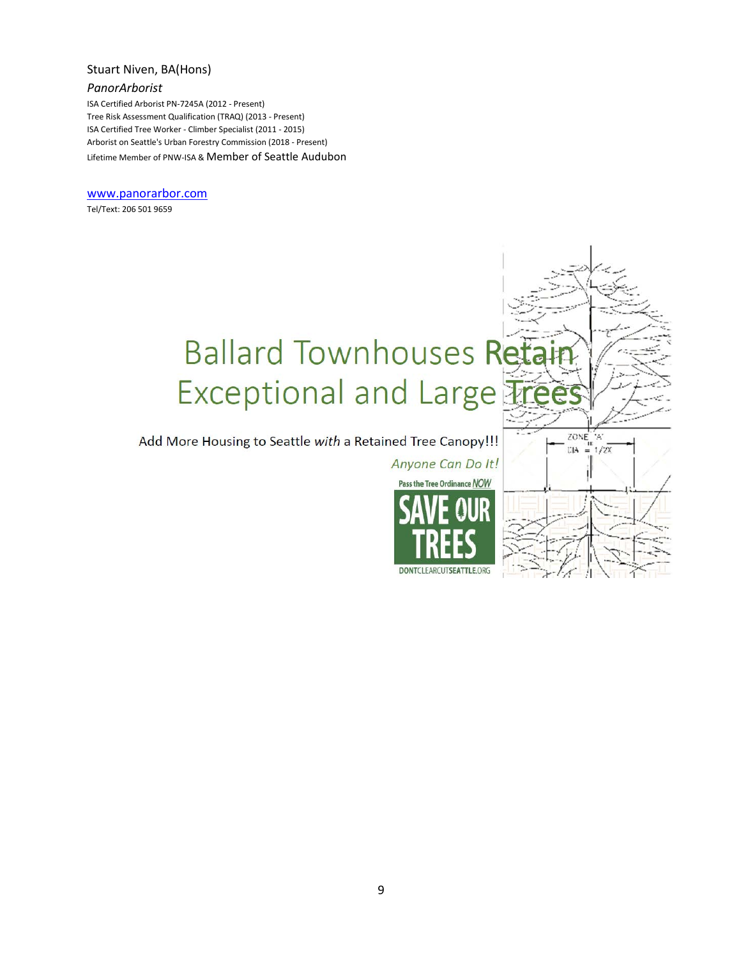# Stuart Niven, BA(Hons)

# *PanorArborist*

ISA Certified Arborist PN-7245A (2012 - Present) Tree Risk Assessment Qualification (TRAQ) (2013 - Present) ISA Certified Tree Worker - Climber Specialist (2011 - 2015) Arborist on Seattle's Urban Forestry Commission (2018 - Present) Lifetime Member of PNW-ISA & Member of Seattle Audubon

#### [www.panorarbor.com](http://www.panorarbor.com/)

Tel/Text: 206 501 9659

# **Ballard Townhouses Ret** Exceptional and Large

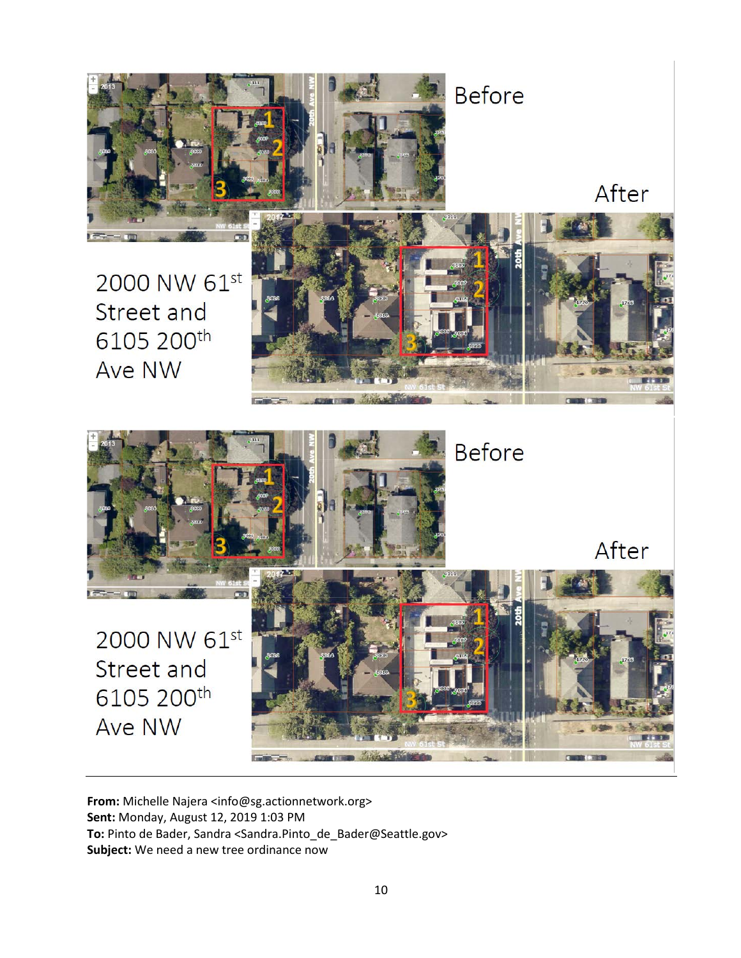



**From:** Michelle Najera <info@sg.actionnetwork.org> **Sent:** Monday, August 12, 2019 1:03 PM **To:** Pinto de Bader, Sandra <Sandra.Pinto\_de\_Bader@Seattle.gov> **Subject:** We need a new tree ordinance now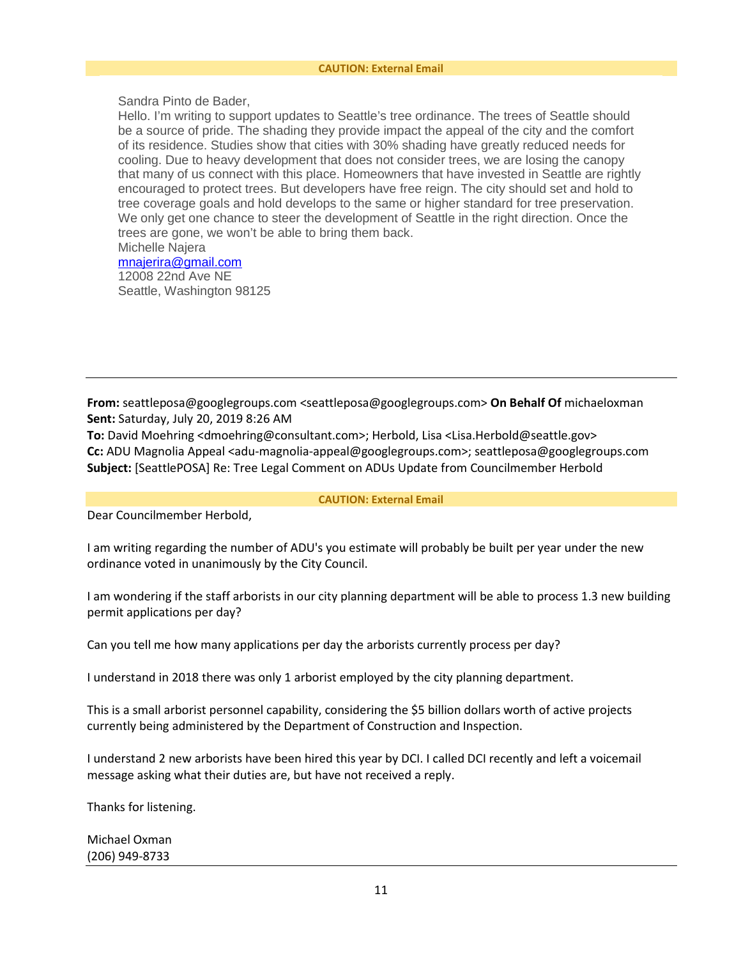Sandra Pinto de Bader,

Hello. I'm writing to support updates to Seattle's tree ordinance. The trees of Seattle should be a source of pride. The shading they provide impact the appeal of the city and the comfort of its residence. Studies show that cities with 30% shading have greatly reduced needs for cooling. Due to heavy development that does not consider trees, we are losing the canopy that many of us connect with this place. Homeowners that have invested in Seattle are rightly encouraged to protect trees. But developers have free reign. The city should set and hold to tree coverage goals and hold develops to the same or higher standard for tree preservation. We only get one chance to steer the development of Seattle in the right direction. Once the trees are gone, we won't be able to bring them back. Michelle Najera

[mnajerira@gmail.com](mailto:mnajerira@gmail.com) 12008 22nd Ave NE Seattle, Washington 98125

**From:** seattleposa@googlegroups.com <seattleposa@googlegroups.com> **On Behalf Of** michaeloxman **Sent:** Saturday, July 20, 2019 8:26 AM

**To:** David Moehring <dmoehring@consultant.com>; Herbold, Lisa <Lisa.Herbold@seattle.gov> **Cc:** ADU Magnolia Appeal <adu-magnolia-appeal@googlegroups.com>; seattleposa@googlegroups.com **Subject:** [SeattlePOSA] Re: Tree Legal Comment on ADUs Update from Councilmember Herbold

**CAUTION: External Email**

Dear Councilmember Herbold,

I am writing regarding the number of ADU's you estimate will probably be built per year under the new ordinance voted in unanimously by the City Council.

I am wondering if the staff arborists in our city planning department will be able to process 1.3 new building permit applications per day?

Can you tell me how many applications per day the arborists currently process per day?

I understand in 2018 there was only 1 arborist employed by the city planning department.

This is a small arborist personnel capability, considering the \$5 billion dollars worth of active projects currently being administered by the Department of Construction and Inspection.

I understand 2 new arborists have been hired this year by DCI. I called DCI recently and left a voicemail message asking what their duties are, but have not received a reply.

Thanks for listening.

Michael Oxman (206) 949-8733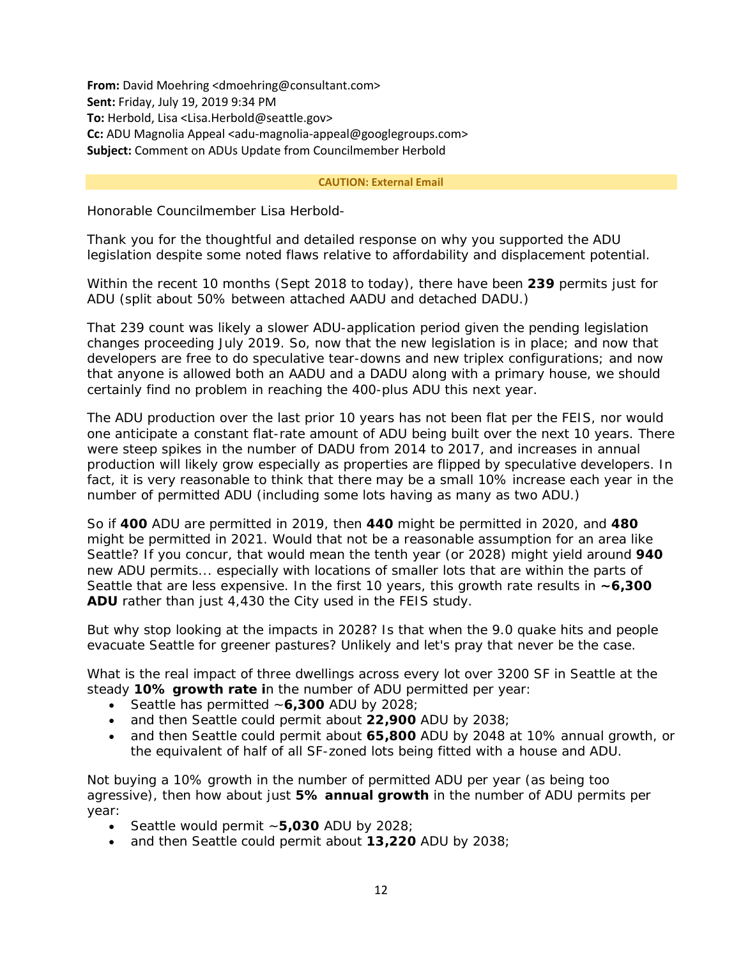**From:** David Moehring <dmoehring@consultant.com> **Sent:** Friday, July 19, 2019 9:34 PM **To:** Herbold, Lisa <Lisa.Herbold@seattle.gov> **Cc:** ADU Magnolia Appeal <adu-magnolia-appeal@googlegroups.com> **Subject:** Comment on ADUs Update from Councilmember Herbold

#### **CAUTION: External Email**

Honorable Councilmember Lisa Herbold-

Thank you for the thoughtful and detailed response on why you supported the ADU legislation despite some noted flaws relative to affordability and displacement potential.

Within the recent 10 months (Sept 2018 to today), there have been **239** permits just for ADU (split about 50% between attached AADU and detached DADU.)

That 239 count was likely a slower ADU-application period given the pending legislation changes proceeding July 2019. So, now that the new legislation is in place; and now that developers are free to do speculative tear-downs and new triplex configurations; and now that anyone is allowed both an AADU and a DADU along with a primary house, we should certainly find no problem in reaching the 400-plus ADU this next year.

The ADU production over the last prior 10 years has not been flat per the FEIS, nor would one anticipate a constant flat-rate amount of ADU being built over the next 10 years. There were steep spikes in the number of DADU from 2014 to 2017, and increases in annual production will likely grow especially as properties are flipped by speculative developers. In fact, it is very reasonable to think that there may be a small 10% increase each year in the number of permitted ADU (including some lots having as many as two ADU.)

So if **400** ADU are permitted in 2019, then **440** might be permitted in 2020, and **480** might be permitted in 2021. Would that not be a reasonable assumption for an area like Seattle? If you concur, that would mean the tenth year (or 2028) might yield around **940** new ADU permits... especially with locations of smaller lots that are within the parts of Seattle that are less expensive. In the first 10 years, this growth rate results in **~6,300 ADU** rather than just 4,430 the City used in the FEIS study.

But why stop looking at the impacts in 2028? Is that when the 9.0 quake hits and people evacuate Seattle for greener pastures? Unlikely and let's pray that never be the case.

What is the real impact of three dwellings across every lot over 3200 SF in Seattle at the steady **10% growth rate i**n the number of ADU permitted per year:

- Seattle has permitted ~**6,300** ADU by 2028;
- and then Seattle could permit about **22,900** ADU by 2038;
- and then Seattle could permit about **65,800** ADU by 2048 at 10% annual growth, or the equivalent of half of all SF-zoned lots being fitted with a house and ADU.

Not buying a 10% growth in the number of permitted ADU per year (as being too agressive), then how about just **5% annual growth** in the number of ADU permits per year:

- Seattle would permit ~**5,030** ADU by 2028;
- and then Seattle could permit about **13,220** ADU by 2038;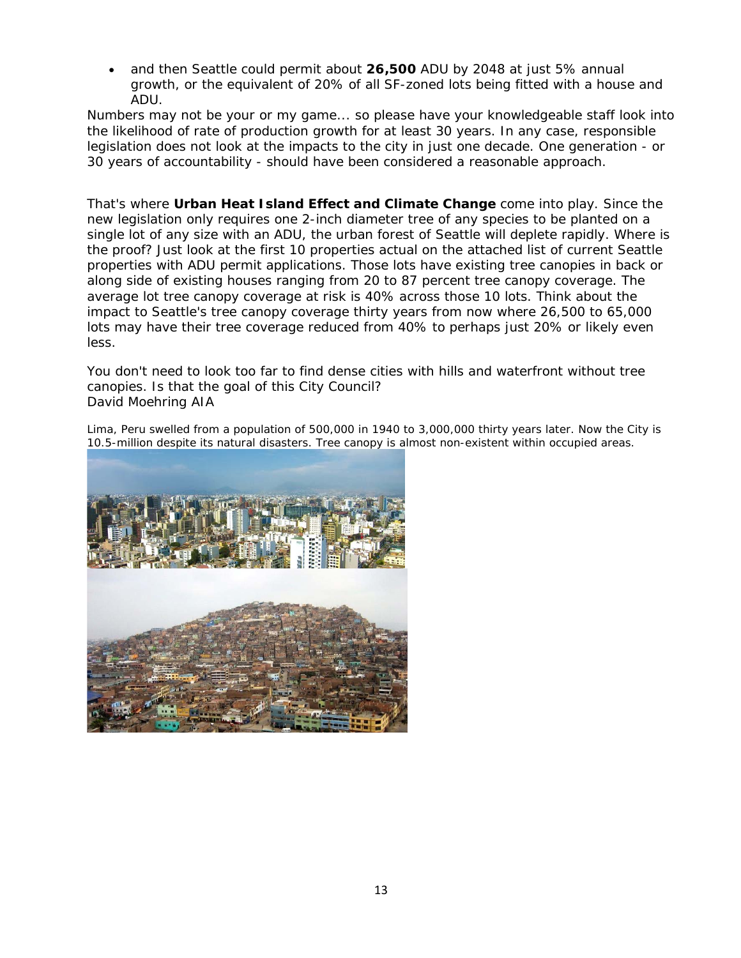• and then Seattle could permit about **26,500** ADU by 2048 at just 5% annual growth, or the equivalent of 20% of all SF-zoned lots being fitted with a house and ADU.

Numbers may not be your or my game... so please have your knowledgeable staff look into the likelihood of rate of production growth for at least 30 years. In any case, responsible legislation does not look at the impacts to the city in just one decade. One generation - or 30 years of accountability - should have been considered a reasonable approach.

That's where **Urban Heat Island Effect and Climate Change** come into play. Since the new legislation only requires one 2-inch diameter tree of any species to be planted on a single lot of any size with an ADU, the urban forest of Seattle will deplete rapidly. Where is the proof? Just look at the first 10 properties actual on the attached list of current Seattle properties with ADU permit applications. Those lots have existing tree canopies in back or along side of existing houses ranging from 20 to 87 percent tree canopy coverage. The average lot tree canopy coverage at risk is 40% across those 10 lots. Think about the impact to Seattle's tree canopy coverage thirty years from now where 26,500 to 65,000 lots may have their tree coverage reduced from 40% to perhaps just 20% or likely even less.

You don't need to look too far to find dense cities with hills and waterfront without tree canopies. Is that the goal of this City Council? David Moehring AIA

Lima, Peru swelled from a population of 500,000 in 1940 to 3,000,000 thirty years later. Now the City is 10.5-million despite its natural disasters. Tree canopy is almost non-existent within occupied areas.

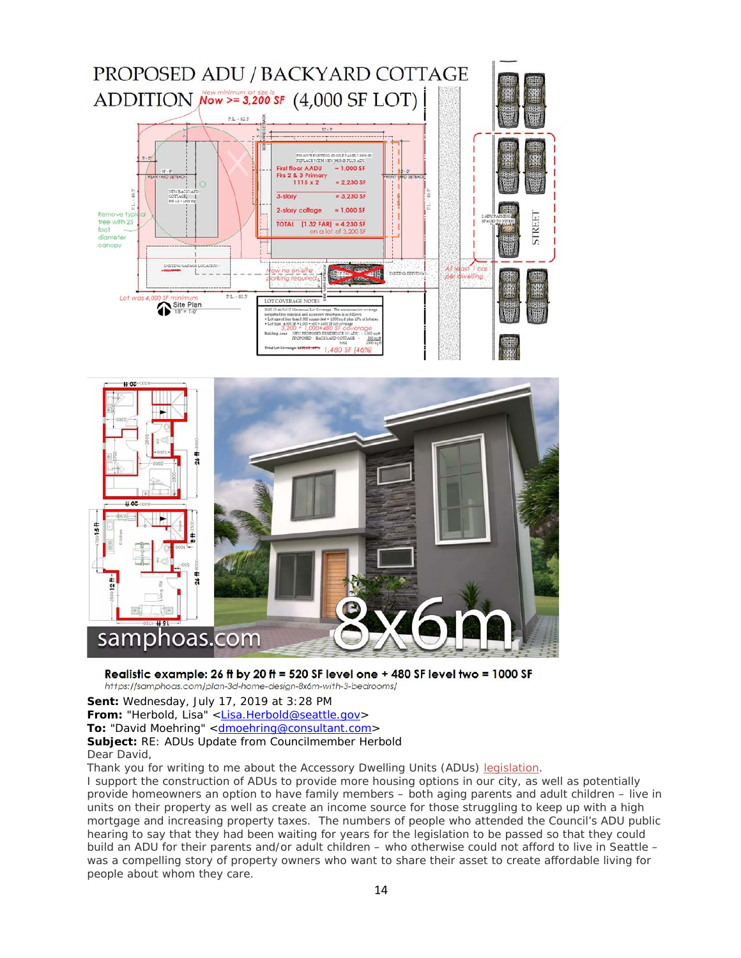



# Realistic example: 26 ft by 20 ft = 520 SF level one + 480 SF level two = 1000 SF

https://samphoas.com/plan-3d-home-design-8x6m-with-3-bedrooms/

**Sent:** Wednesday, July 17, 2019 at 3:28 PM From: "Herbold, Lisa" [<Lisa.Herbold@seattle.gov>](mailto:Lisa.Herbold@seattle.gov) **To:** "David Moehring" <**dmoehring@consultant.com> Subject:** RE: ADUs Update from Councilmember Herbold Dear David,

Thank you for writing to me about the Accessory Dwelling Units (ADUs) [legislation.](http://seattle.legistar.com/LegislationDetail.aspx?ID=3976805&GUID=6402D8F2-8188-4891-B449-A160356FFD87&Options=&Search=)

I support the construction of ADUs to provide more housing options in our city, as well as potentially provide homeowners an option to have family members – both aging parents and adult children – live in units on their property as well as create an income source for those struggling to keep up with a high mortgage and increasing property taxes. The numbers of people who attended the Council's ADU public hearing to say that they had been waiting for years for the legislation to be passed so that they could build an ADU for their parents and/or adult children – who otherwise could not afford to live in Seattle – was a compelling story of property owners who want to share their asset to create affordable living for people about whom they care.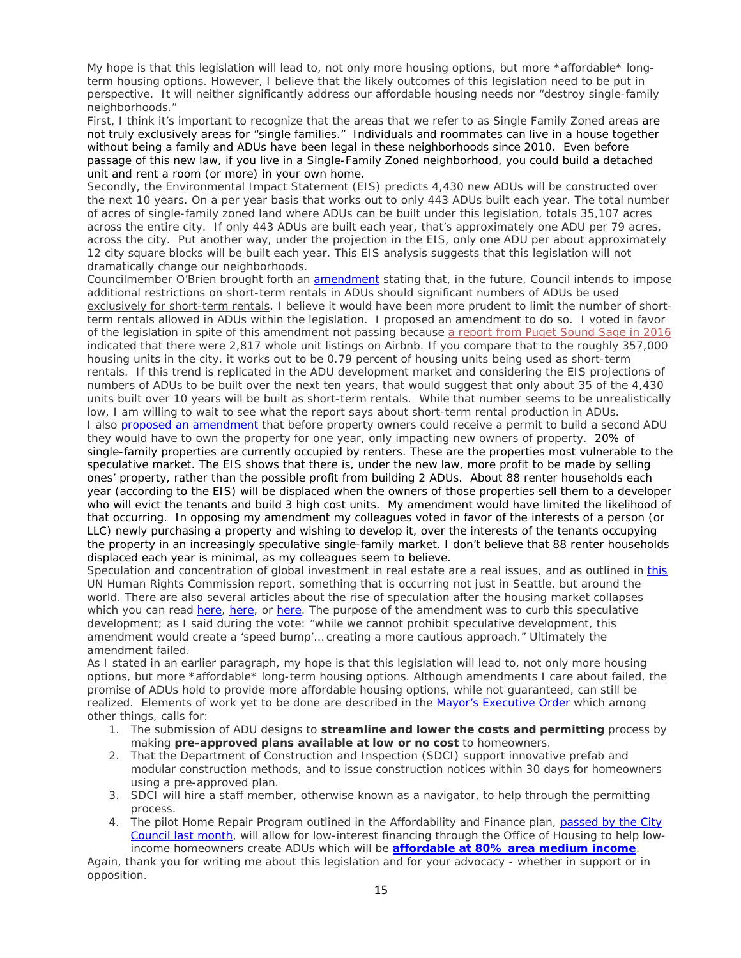My hope is that this legislation will lead to, not only more housing options, but more \*affordable\* longterm housing options. However, I believe that the likely outcomes of this legislation need to be put in perspective. It will neither significantly address our affordable housing needs nor "destroy single-family neighborhoods."

First, I think it's important to recognize that the areas that we refer to as Single Family Zoned areas are not truly exclusively areas for "single families." Individuals and roommates can live in a house together without being a family and ADUs have been legal in these neighborhoods since 2010. Even before passage of this new law, if you live in a Single-Family Zoned neighborhood, you could build a detached unit and rent a room (or more) in your own home.

Secondly, the Environmental Impact Statement (EIS) predicts 4,430 new ADUs will be constructed over the next 10 years. On a per year basis that works out to only 443 ADUs built each year. The total number of acres of single-family zoned land where ADUs can be built under this legislation, totals 35,107 acres across the entire city. If only 443 ADUs are built each year, that's approximately one ADU per 79 acres, across the city. Put another way, under the projection in the EIS, only one ADU per about approximately 12 city square blocks will be built each year. This EIS analysis suggests that this legislation will not dramatically change our neighborhoods.

Councilmember O'Brien brought forth an [amendment](http://seattle.legistar.com/View.ashx?M=F&ID=7501015&GUID=58A6D743-9C65-49B3-BE5C-17888FC50DCA) stating that, in the future, Council intends to impose additional restrictions on short-term rentals in ADUs should significant numbers of ADUs be used exclusively for short-term rentals. I believe it would have been more prudent to limit the number of shortterm rentals allowed in ADUs within the legislation. I proposed an amendment to do so. I voted in favor of the legislation in spite of this amendment not passing because [a report from Puget Sound Sage in 2016](https://pugetsoundsage.org/wp-content/uploads/2016/12/PSS_ShortTermRentals.pdf) indicated that there were 2,817 whole unit listings on Airbnb. If you compare that to the roughly 357,000 housing units in the city, it works out to be 0.79 percent of housing units being used as short-term rentals. If this trend is replicated in the ADU development market and considering the EIS projections of numbers of ADUs to be built over the next ten years, that would suggest that only about 35 of the 4,430 units built over 10 years will be built as short-term rentals. While that number seems to be unrealistically low, I am willing to wait to see what the report says about short-term rental production in ADUs. I also [proposed an amendment](http://seattle.legistar.com/View.ashx?M=F&ID=7514433&GUID=4C49A0FB-2DEE-49BA-990D-F91BEDA9BE10) that before property owners could receive a permit to build a second ADU they would have to own the property for one year, only impacting new owners of property. 20% of single-family properties are currently occupied by renters. These are the properties most vulnerable to the speculative market. The EIS shows that there is, under the new law, more profit to be made by selling ones' property, rather than the possible profit from building 2 ADUs. About 88 renter households each year (according to the EIS) will be displaced when the owners of those properties sell them to a developer who will evict the tenants and build 3 high cost units. My amendment would have limited the likelihood of that occurring. In opposing my amendment my colleagues voted in favor of the interests of a person (or LLC) newly purchasing a property and wishing to develop it, over the interests of the tenants occupying the property in an increasingly speculative single-family market. I don't believe that 88 renter households displaced each year is minimal, as my colleagues seem to believe.

Speculation and concentration of global investment in real estate are a real issues, and as outlined in [this](https://www.ohchr.org/EN/Issues/Housing/Pages/FinancializationHousing.aspx) UN Human Rights Commission report, something that is occurring not just in Seattle, but around the world. There are also several articles about the rise of speculation after the housing market collapses which you can read [here,](https://www.nytimes.com/interactive/2019/06/20/business/economy/starter-homes-investors.html) here, or [here.](https://www.wsj.com/articles/investors-are-buying-more-of-the-u-s-housing-market-than-ever-before-11561023120) The purpose of the amendment was to curb this speculative development; as I said during the vote: "while we cannot prohibit speculative development, this amendment would create a 'speed bump'… creating a more cautious approach." Ultimately the amendment failed.

As I stated in an earlier paragraph, my hope is that this legislation will lead to, not only more housing options, but more \*affordable\* long-term housing options. Although amendments I care about failed, the promise of ADUs hold to provide more affordable housing options, while not guaranteed, can still be realized. Elements of work yet to be done are described in the [Mayor's Executive Order](https://durkan.seattle.gov/wp-content/uploads/2019/07/07.09.19-Accessory-Dwelling-Unit-EO.pdf) which among other things, calls for:

- 1. The submission of ADU designs to **streamline and lower the costs and permitting** process by making **pre-approved plans available at low or no cost** to homeowners.
- 2. That the Department of Construction and Inspection (SDCI) support innovative prefab and modular construction methods, and to issue construction notices within 30 days for homeowners using a pre-approved plan.
- 3. SDCI will hire a staff member, otherwise known as a navigator, to help through the permitting process.
- 4. The pilot Home Repair Program outlined in the Affordability and Finance plan, passed by the City [Council last month,](https://herbold.seattle.gov/administrative-junction-reuse-and-recycle-with-shredding-june-29th-arts-in-nature-festival-june-29th-30th-lunch-learn-the/) will allow for low-interest financing through the Office of Housing to help lowincome homeowners create ADUs which will be **[affordable at 80% area medium income](http://www.seattle.gov/Documents/Departments/Housing/PropertyManagers/IncomeRentLimits/2019%20RHP%20Income%20Limits.pdf)**.

Again, thank you for writing me about this legislation and for your advocacy - whether in support or in opposition.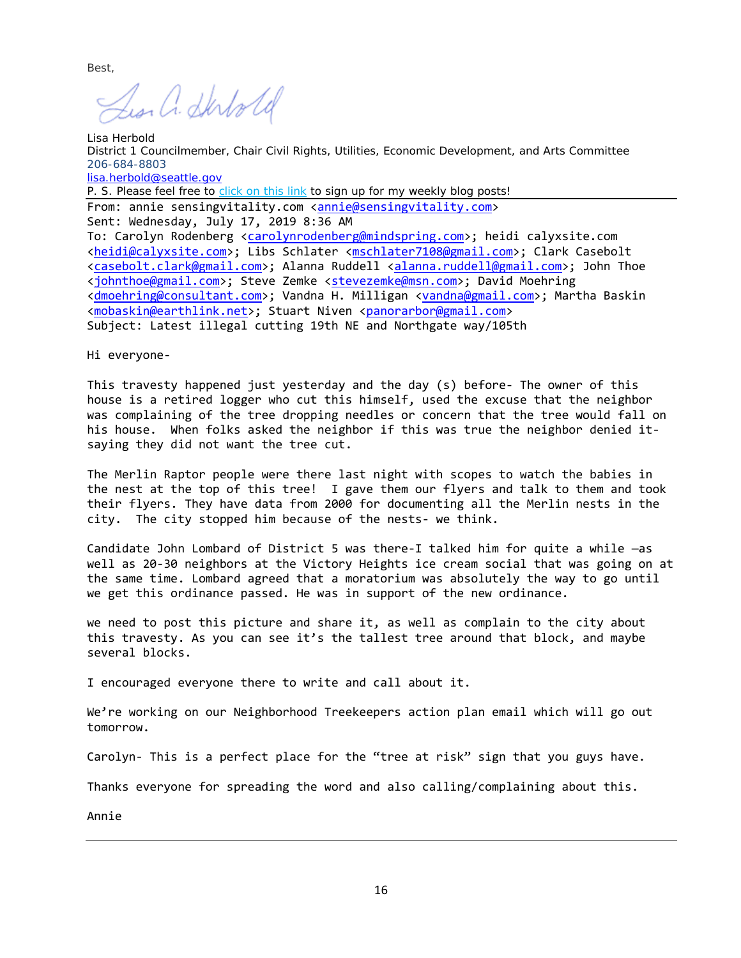Best,

Les. a. Skrtold

Lisa Herbold District 1 Councilmember, Chair Civil Rights, Utilities, Economic Development, and Arts Committee 206-684-8803 [lisa.herbold@seattle.gov](mailto:lisa.herbold@seattle.gov) P. S. Please feel free to [click on this link](http://seattle.us12.list-manage.com/subscribe?u=11a79978ca7225050bfabf7ad&id=bdd26bccf2) to sign up for my weekly blog posts! From: annie sensingvitality.com [<annie@sensingvitality.com>](mailto:annie@sensingvitality.com) Sent: Wednesday, July 17, 2019 8:36 AM To: Carolyn Rodenberg [<carolynrodenberg@mindspring.com>](mailto:carolynrodenberg@mindspring.com); heidi calyxsite.com [<heidi@calyxsite.com>](mailto:heidi@calyxsite.com); Libs Schlater [<mschlater7108@gmail.com>](mailto:mschlater7108@gmail.com); Clark Casebolt [<casebolt.clark@gmail.com>](mailto:casebolt.clark@gmail.com); Alanna Ruddell [<alanna.ruddell@gmail.com>](mailto:alanna.ruddell@gmail.com); John Thoe [<johnthoe@gmail.com>](mailto:johnthoe@gmail.com); Steve Zemke [<stevezemke@msn.com>](mailto:stevezemke@msn.com); David Moehring [<dmoehring@consultant.com>](mailto:dmoehring@consultant.com); Vandna H. Milligan [<vandna@gmail.com>](mailto:vandna@gmail.com); Martha Baskin [<mobaskin@earthlink.net>](mailto:mobaskin@earthlink.net); Stuart Niven [<panorarbor@gmail.com>](mailto:panorarbor@gmail.com) Subject: Latest illegal cutting 19th NE and Northgate way/105th

Hi everyone-

This travesty happened just yesterday and the day (s) before- The owner of this house is a retired logger who cut this himself, used the excuse that the neighbor was complaining of the tree dropping needles or concern that the tree would fall on his house. When folks asked the neighbor if this was true the neighbor denied itsaying they did not want the tree cut.

The Merlin Raptor people were there last night with scopes to watch the babies in the nest at the top of this tree! I gave them our flyers and talk to them and took their flyers. They have data from 2000 for documenting all the Merlin nests in the city. The city stopped him because of the nests- we think.

Candidate John Lombard of District 5 was there-I talked him for quite a while —as well as 20-30 neighbors at the Victory Heights ice cream social that was going on at the same time. Lombard agreed that a moratorium was absolutely the way to go until we get this ordinance passed. He was in support of the new ordinance.

we need to post this picture and share it, as well as complain to the city about this travesty. As you can see it's the tallest tree around that block, and maybe several blocks.

I encouraged everyone there to write and call about it.

We're working on our Neighborhood Treekeepers action plan email which will go out tomorrow.

Carolyn- This is a perfect place for the "tree at risk" sign that you guys have.

Thanks everyone for spreading the word and also calling/complaining about this.

Annie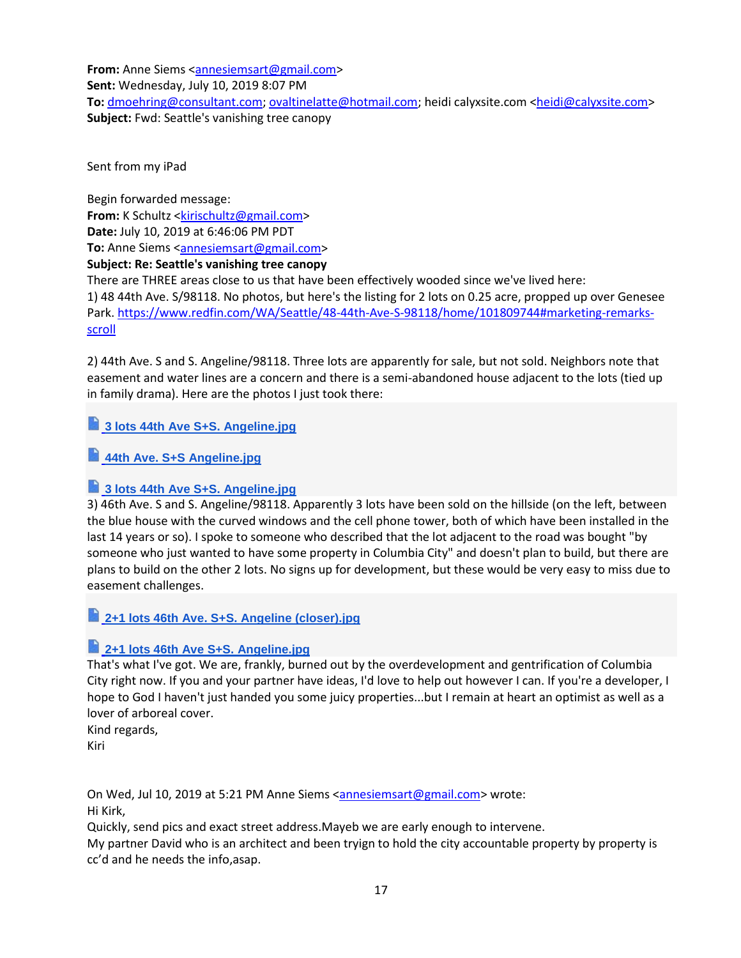**From:** Anne Siems [<annesiemsart@gmail.com>](mailto:annesiemsart@gmail.com) **Sent:** Wednesday, July 10, 2019 8:07 PM **To:** [dmoehring@consultant.com;](mailto:dmoehring@consultant.com) [ovaltinelatte@hotmail.com;](mailto:ovaltinelatte@hotmail.com) heidi calyxsite.com [<heidi@calyxsite.com>](mailto:heidi@calyxsite.com) **Subject:** Fwd: Seattle's vanishing tree canopy

Sent from my iPad

Begin forwarded message: **From:** K Schultz [<kirischultz@gmail.com>](mailto:kirischultz@gmail.com) **Date:** July 10, 2019 at 6:46:06 PM PDT **To:** Anne Siems [<annesiemsart@gmail.com>](mailto:annesiemsart@gmail.com) **Subject: Re: Seattle's vanishing tree canopy**

There are THREE areas close to us that have been effectively wooded since we've lived here: 1) 48 44th Ave. S/98118. No photos, but here's the listing for 2 lots on 0.25 acre, propped up over Genesee Park. [https://www.redfin.com/WA/Seattle/48-44th-Ave-S-98118/home/101809744#marketing-remarks](https://www.redfin.com/WA/Seattle/48-44th-Ave-S-98118/home/101809744#marketing-remarks-scroll)[scroll](https://www.redfin.com/WA/Seattle/48-44th-Ave-S-98118/home/101809744#marketing-remarks-scroll)

2) 44th Ave. S and S. Angeline/98118. Three lots are apparently for sale, but not sold. Neighbors note that easement and water lines are a concern and there is a semi-abandoned house adjacent to the lots (tied up in family drama). Here are the photos I just took there:

# **3 lots 44th Ave S+S. [Angeline.jpg](https://drive.google.com/file/d/1KNleD8L0yLdQG3sDtdULwJ6wsw95Rzs3/view?usp=drive_web)**

# **44th Ave. S+S [Angeline.jpg](https://drive.google.com/file/d/1gz-XrqWIsReI4nvwR1SjDkqa9Ml36UkG/view?usp=drive_web)**

# **3 lots 44th Ave S+S. [Angeline.jpg](https://drive.google.com/file/d/1TETC6z3wVdaN74cDZbOO3jY8ZIKiqlQQ/view?usp=drive_web)**

3) 46th Ave. S and S. Angeline/98118. Apparently 3 lots have been sold on the hillside (on the left, between the blue house with the curved windows and the cell phone tower, both of which have been installed in the last 14 years or so). I spoke to someone who described that the lot adjacent to the road was bought "by someone who just wanted to have some property in Columbia City" and doesn't plan to build, but there are plans to build on the other 2 lots. No signs up for development, but these would be very easy to miss due to easement challenges.

# **2+1 lots 46th Ave. S+S. Angeline [\(closer\).jpg](https://drive.google.com/file/d/10ihIASH2baGUtaxH8EQyD7Nr_BcExisD/view?usp=drive_web)**

# **2+1 lots 46th Ave S+S. [Angeline.jpg](https://drive.google.com/file/d/1vPi5_1a0mkhS_kl3ymJPnCYZ-HpI2ROX/view?usp=drive_web)**

That's what I've got. We are, frankly, burned out by the overdevelopment and gentrification of Columbia City right now. If you and your partner have ideas, I'd love to help out however I can. If you're a developer, I hope to God I haven't just handed you some juicy properties...but I remain at heart an optimist as well as a lover of arboreal cover.

Kind regards, Kiri

On Wed, Jul 10, 2019 at 5:21 PM Anne Siems [<annesiemsart@gmail.com>](mailto:annesiemsart@gmail.com) wrote:

Hi Kirk,

Quickly, send pics and exact street address.Mayeb we are early enough to intervene.

My partner David who is an architect and been tryign to hold the city accountable property by property is cc'd and he needs the info,asap.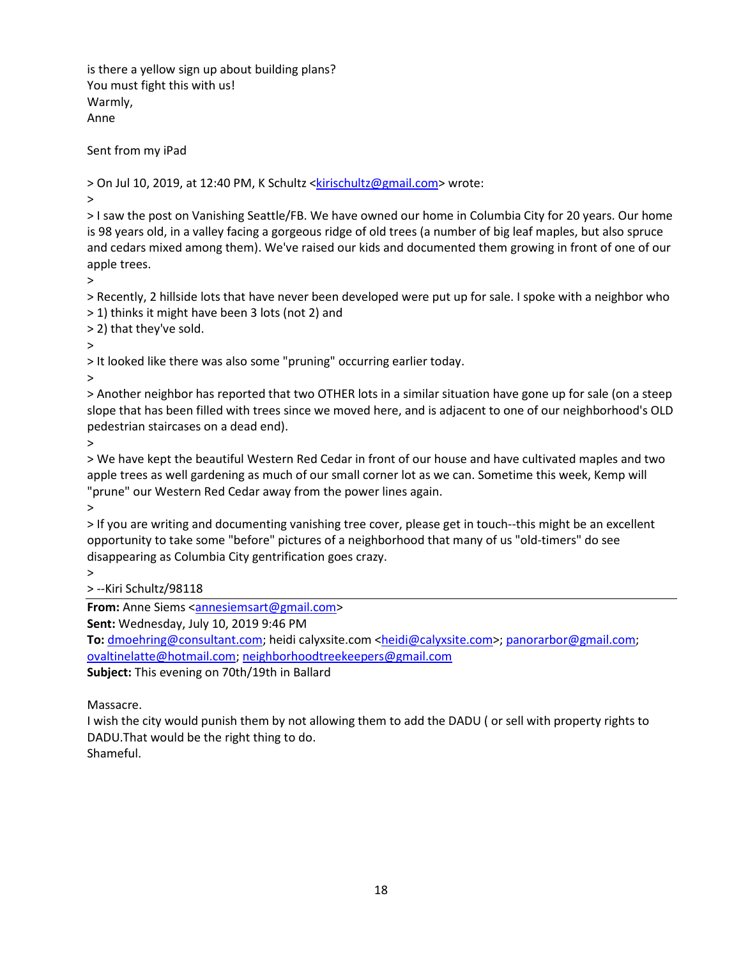is there a yellow sign up about building plans? You must fight this with us! Warmly, Anne

Sent from my iPad

> On Jul 10, 2019, at 12:40 PM, K Schultz [<kirischultz@gmail.com>](mailto:kirischultz@gmail.com) wrote:

>

> I saw the post on Vanishing Seattle/FB. We have owned our home in Columbia City for 20 years. Our home is 98 years old, in a valley facing a gorgeous ridge of old trees (a number of big leaf maples, but also spruce and cedars mixed among them). We've raised our kids and documented them growing in front of one of our apple trees.

>

> Recently, 2 hillside lots that have never been developed were put up for sale. I spoke with a neighbor who > 1) thinks it might have been 3 lots (not 2) and

> 2) that they've sold.

>

> It looked like there was also some "pruning" occurring earlier today.

>

> Another neighbor has reported that two OTHER lots in a similar situation have gone up for sale (on a steep slope that has been filled with trees since we moved here, and is adjacent to one of our neighborhood's OLD pedestrian staircases on a dead end).

>

> We have kept the beautiful Western Red Cedar in front of our house and have cultivated maples and two apple trees as well gardening as much of our small corner lot as we can. Sometime this week, Kemp will "prune" our Western Red Cedar away from the power lines again.

>

> If you are writing and documenting vanishing tree cover, please get in touch--this might be an excellent opportunity to take some "before" pictures of a neighborhood that many of us "old-timers" do see disappearing as Columbia City gentrification goes crazy.

>

> --Kiri Schultz/98118

**From:** Anne Siems [<annesiemsart@gmail.com>](mailto:annesiemsart@gmail.com)

**Sent:** Wednesday, July 10, 2019 9:46 PM

To: [dmoehring@consultant.com;](mailto:dmoehring@consultant.com) heidi calyxsite.com [<heidi@calyxsite.com>](mailto:heidi@calyxsite.com); [panorarbor@gmail.com;](mailto:panorarbor@gmail.com) [ovaltinelatte@hotmail.com;](mailto:ovaltinelatte@hotmail.com) [neighborhoodtreekeepers@gmail.com](mailto:neighborhoodtreekeepers@gmail.com) **Subject:** This evening on 70th/19th in Ballard

Massacre.

I wish the city would punish them by not allowing them to add the DADU ( or sell with property rights to DADU.That would be the right thing to do. Shameful.

18